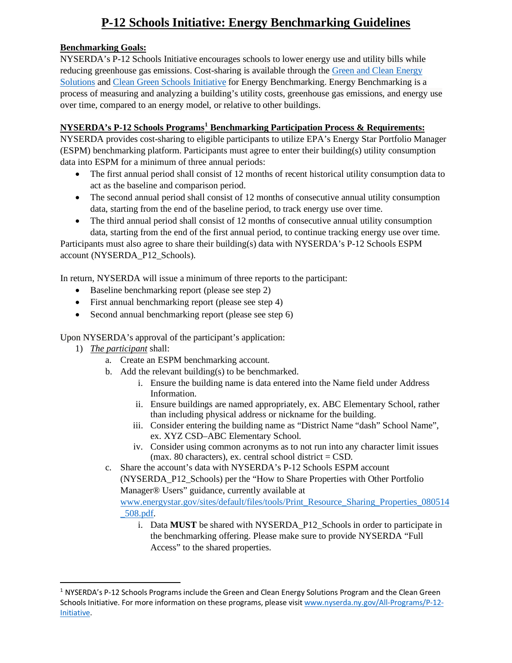# **P-12 Schools Initiative: Energy Benchmarking Guidelines**

### **Benchmarking Goals:**

NYSERDA's P-12 Schools Initiative encourages schools to lower energy use and utility bills while reducing greenhouse gas emissions. Cost-sharing is available through the [Green and Clean Energy](https://www.nyserda.ny.gov/All-Programs/P-12-Green-and-Clean-Energy-Solutions)  [Solutions](https://www.nyserda.ny.gov/All-Programs/P-12-Green-and-Clean-Energy-Solutions) and [Clean Green Schools Initiative](https://www.nyserda.ny.gov/All-Programs/P-12-Initiative) for Energy Benchmarking. Energy Benchmarking is a process of measuring and analyzing a building's utility costs, greenhouse gas emissions, and energy use over time, compared to an energy model, or relative to other buildings.

### **NYSERDA's P-12 Schools Programs[1](#page-0-0) Benchmarking Participation Process & Requirements:**

NYSERDA provides cost-sharing to eligible participants to utilize EPA's Energy Star Portfolio Manager (ESPM) benchmarking platform. Participants must agree to enter their building(s) utility consumption data into ESPM for a minimum of three annual periods:

- The first annual period shall consist of 12 months of recent historical utility consumption data to act as the baseline and comparison period.
- The second annual period shall consist of 12 months of consecutive annual utility consumption data, starting from the end of the baseline period, to track energy use over time.
- The third annual period shall consist of 12 months of consecutive annual utility consumption data, starting from the end of the first annual period, to continue tracking energy use over time.

Participants must also agree to share their building(s) data with NYSERDA's P-12 Schools ESPM account (NYSERDA\_P12\_Schools).

In return, NYSERDA will issue a minimum of three reports to the participant:

- Baseline benchmarking report (please see step 2)
- First annual benchmarking report (please see step 4)
- Second annual benchmarking report (please see step 6)

Upon NYSERDA's approval of the participant's application:

- 1) *The participant* shall:
	- a. Create an ESPM benchmarking account.
	- b. Add the relevant building(s) to be benchmarked.
		- i. Ensure the building name is data entered into the Name field under Address Information.
		- ii. Ensure buildings are named appropriately, ex. ABC Elementary School, rather than including physical address or nickname for the building.
		- iii. Consider entering the building name as "District Name "dash" School Name", ex. XYZ CSD–ABC Elementary School.
		- iv. Consider using common acronyms as to not run into any character limit issues (max. 80 characters), ex. central school district  $=$  CSD.

c. Share the account's data with NYSERDA's P-12 Schools ESPM account (NYSERDA\_P12\_Schools) per the "How to Share Properties with Other Portfolio Manager® Users" guidance, currently available at [www.energystar.gov/sites/default/files/tools/Print\\_Resource\\_Sharing\\_Properties\\_080514](http://www.energystar.gov/sites/default/files/tools/Print_Resource_Sharing_Properties_080514_508.pdf) [\\_508.pdf.](http://www.energystar.gov/sites/default/files/tools/Print_Resource_Sharing_Properties_080514_508.pdf)

i. Data **MUST** be shared with NYSERDA\_P12\_Schools in order to participate in the benchmarking offering. Please make sure to provide NYSERDA "Full Access" to the shared properties.

<span id="page-0-0"></span> $1$  NYSERDA's P-12 Schools Programs include the Green and Clean Energy Solutions Program and the Clean Green Schools Initiative. For more information on these programs, please visit [www.nyserda.ny.gov/All-Programs/P-12-](http://www.nyserda.ny.gov/All-Programs/P-12-Initiative) [Initiative.](http://www.nyserda.ny.gov/All-Programs/P-12-Initiative)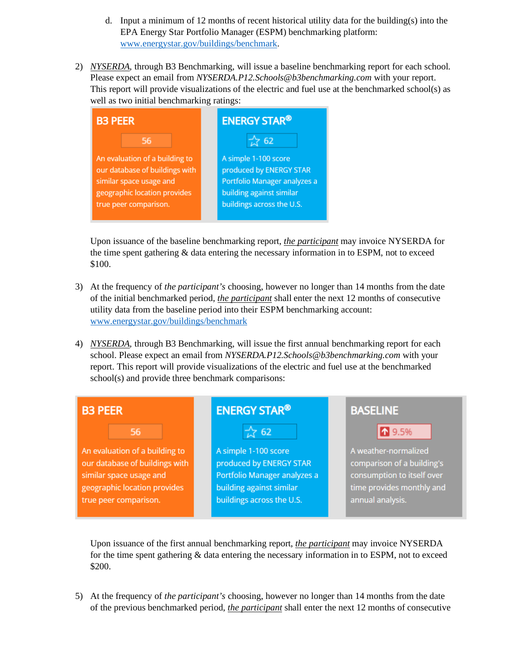- d. Input a minimum of 12 months of recent historical utility data for the building(s) into the EPA Energy Star Portfolio Manager (ESPM) benchmarking platform: [www.energystar.gov/buildings/benchmark.](http://www.energystar.gov/buildings/benchmark)
- 2) *NYSERDA*, through B3 Benchmarking, will issue a baseline benchmarking report for each school. Please expect an email from *NYSERDA.P12.Schools@b3benchmarking.com* with your report. This report will provide visualizations of the electric and fuel use at the benchmarked school(s) as well as two initial benchmarking ratings:



Upon issuance of the baseline benchmarking report, *the participant* may invoice NYSERDA for the time spent gathering & data entering the necessary information in to ESPM, not to exceed \$100.

- 3) At the frequency of *the participant's* choosing, however no longer than 14 months from the date of the initial benchmarked period, *the participant* shall enter the next 12 months of consecutive utility data from the baseline period into their ESPM benchmarking account: [www.energystar.gov/buildings/benchmark](http://www.energystar.gov/buildings/benchmark)
- 4) *NYSERDA*, through B3 Benchmarking, will issue the first annual benchmarking report for each school. Please expect an email from *NYSERDA.P12.Schools@b3benchmarking.com* with your report. This report will provide visualizations of the electric and fuel use at the benchmarked school(s) and provide three benchmark comparisons:



Upon issuance of the first annual benchmarking report, *the participant* may invoice NYSERDA for the time spent gathering & data entering the necessary information in to ESPM, not to exceed \$200.

5) At the frequency of *the participant's* choosing, however no longer than 14 months from the date of the previous benchmarked period, *the participant* shall enter the next 12 months of consecutive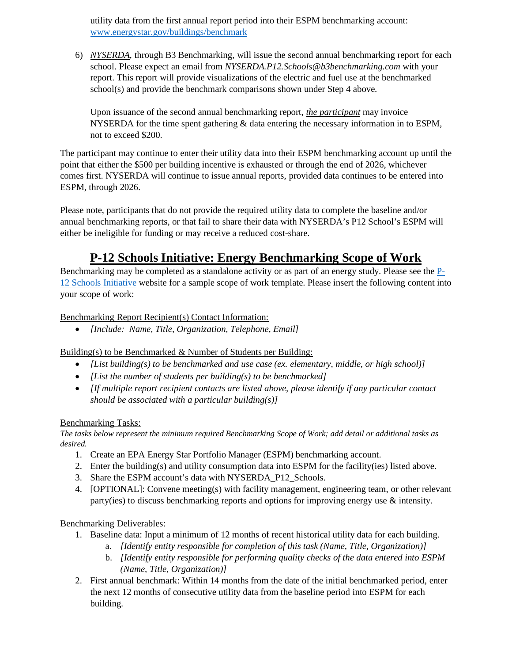utility data from the first annual report period into their ESPM benchmarking account: [www.energystar.gov/buildings/benchmark](http://www.energystar.gov/buildings/benchmark)

6) *NYSERDA*, through B3 Benchmarking, will issue the second annual benchmarking report for each school. Please expect an email from *NYSERDA.P12.Schools@b3benchmarking.com* with your report. This report will provide visualizations of the electric and fuel use at the benchmarked school(s) and provide the benchmark comparisons shown under Step 4 above.

Upon issuance of the second annual benchmarking report, *the participant* may invoice NYSERDA for the time spent gathering & data entering the necessary information in to ESPM, not to exceed \$200.

The participant may continue to enter their utility data into their ESPM benchmarking account up until the point that either the \$500 per building incentive is exhausted or through the end of 2026, whichever comes first. NYSERDA will continue to issue annual reports, provided data continues to be entered into ESPM, through 2026.

Please note, participants that do not provide the required utility data to complete the baseline and/or annual benchmarking reports, or that fail to share their data with NYSERDA's P12 School's ESPM will either be ineligible for funding or may receive a reduced cost-share.

## **P-12 Schools Initiative: Energy Benchmarking Scope of Work**

Benchmarking may be completed as a standalone activity or as part of an energy study. Please see the [P-](https://www.nyserda.ny.gov/All-Programs/P-12-Initiative)[12 Schools Initiative](https://www.nyserda.ny.gov/All-Programs/P-12-Initiative) website for a sample scope of work template. Please insert the following content into your scope of work:

### Benchmarking Report Recipient(s) Contact Information:

• *[Include: Name, Title, Organization, Telephone, Email]*

Building(s) to be Benchmarked & Number of Students per Building:

- *[List building(s) to be benchmarked and use case (ex. elementary, middle, or high school)]*
- *[List the number of students per building(s) to be benchmarked]*
- *[If multiple report recipient contacts are listed above, please identify if any particular contact should be associated with a particular building(s)]*

#### Benchmarking Tasks:

*The tasks below represent the minimum required Benchmarking Scope of Work; add detail or additional tasks as desired.*

- 1. Create an EPA Energy Star Portfolio Manager (ESPM) benchmarking account.
- 2. Enter the building(s) and utility consumption data into ESPM for the facility(ies) listed above.
- 3. Share the ESPM account's data with NYSERDA\_P12\_Schools.
- 4. [OPTIONAL]: Convene meeting(s) with facility management, engineering team, or other relevant party(ies) to discuss benchmarking reports and options for improving energy use & intensity.

## Benchmarking Deliverables:

- 1. Baseline data: Input a minimum of 12 months of recent historical utility data for each building.
	- a. *[Identify entity responsible for completion of this task (Name, Title, Organization)]*
	- b. *[Identify entity responsible for performing quality checks of the data entered into ESPM (Name, Title, Organization)]*
- 2. First annual benchmark: Within 14 months from the date of the initial benchmarked period, enter the next 12 months of consecutive utility data from the baseline period into ESPM for each building.